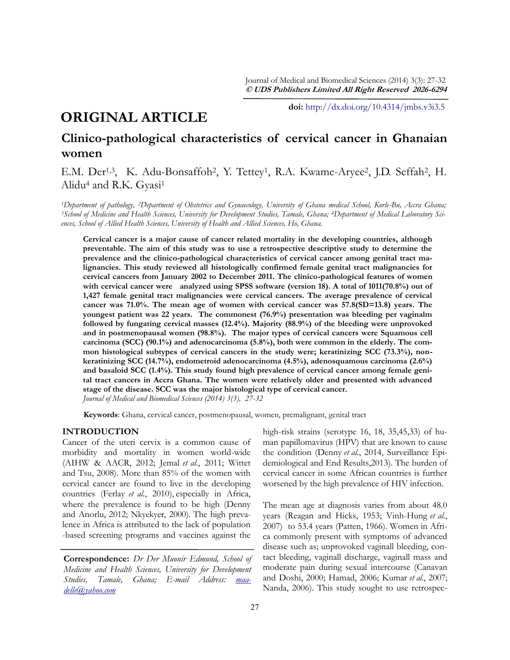# **ORIGINAL ARTICLE**

**doi:** [http://dx.doi.org/10.4314/jmbs.v3i3.5](http://dx.doi.org/10.4314/jmbs.v2i4.1)

# **Clinico-pathological characteristics of cervical cancer in Ghanaian women**

E.M. Der<sup>1,3</sup>, K. Adu-Bonsaffoh<sup>2</sup>, Y. Tettey<sup>1</sup>, R.A. Kwame-Aryee<sup>2</sup>, J.D. Seffah<sup>2</sup>, H. Alidu<sup>4</sup> and R.K. Gyasi<sup>1</sup>

*<sup>1</sup>Department of pathology, 2Department of Obstetrics and Gynaecology, University of Ghana medical School, Korle-Bu, Accra Ghana;*  <sup>3</sup>*School of Medicine and Health Sciences, University for Development Studies, Tamale, Ghana; <sup>4</sup>Department of Medical Laboratory Sciences, School of Allied Health Sciences, University of Health and Allied Sciences, Ho, Ghana.*

**Cervical cancer is a major cause of cancer related mortality in the developing countries, although preventable. The aim of this study was to use a retrospective descriptive study to determine the prevalence and the clinico-pathological characteristics of cervical cancer among genital tract malignancies. This study reviewed all histologically confirmed female genital tract malignancies for cervical cancers from January 2002 to December 2011. The clinico-pathological features of women with cervical cancer were analyzed using SPSS software (version 18). A total of 1011(70.8%) out of 1,427 female genital tract malignancies were cervical cancers. The average prevalence of cervical cancer was 71.0%. The mean age of women with cervical cancer was 57.8(SD=13.8) years. The youngest patient was 22 years. The commonest (76.9%) presentation was bleeding per vaginalm followed by fungating cervical masses (12.4%). Majority (88.9%) of the bleeding were unprovoked and in postmenopausal women (98.8%). The major types of cervical cancers were Squamous cell carcinoma (SCC) (90.1%) and adenocarcinoma (5.8%), both were common in the elderly. The common histological subtypes of cervical cancers in the study were; keratinizing SCC (73.3%), nonkeratinizing SCC (14.7%), endometroid adenocarcinoma (4.5%), adenosquamous carcinoma (2.6%) and basaloid SCC (1.4%). This study found high prevalence of cervical cancer among female genital tract cancers in Accra Ghana. The women were relatively older and presented with advanced stage of the disease. SCC was the major histological type of cervical cancer.**  *Journal of Medical and Biomedical Sciences (2014) 3(3), 27-32*

**Keywords**: Ghana, cervical cancer, postmenopausal, women, premalignant, genital tract

## **INTRODUCTION**

Cancer of the uteri cervix is a common cause of morbidity and mortality in women world-wide [\(AIHW & AACR, 2012;](#_ENREF_2#_ENREF_2) Jemal *et al.*[, 2011;](#_ENREF_10#_ENREF_10) [Wittet](#_ENREF_23#_ENREF_23)  [and Tsu, 2008\).](#_ENREF_23#_ENREF_23) More than 85% of the women with cervical cancer are found to live in the developing countries (Ferlay *et al.*[, 2010\),](#_ENREF_6#_ENREF_6) especially in Africa, where the prevalence is found to be high [\(Denny](#_ENREF_5#_ENREF_5)  [and Anorlu, 2012;](#_ENREF_5#_ENREF_5) [Nkyekyer, 2000\)](#_ENREF_17#_ENREF_17). The high prevalence in Africa is attributed to the lack of population -based screening programs and vaccines against the

**Correspondence:** *Dr Der Muonir Edmund, School of Medicine and Health Sciences, University for Development Studies, Tamale, Ghana; E-mail Address: [maa](mailto:maadelle@yahoo.com)[delle@yahoo.com](mailto:maadelle@yahoo.com)*

high-risk strains (serotype 16, 18, 35,45,33) of human papillomavirus (HPV) that are known to cause the condition (Denny *et al.*[, 2014,](#_ENREF_4#_ENREF_4) Surveillance Epidemiological and End Results,2013). The burden of cervical cancer in some African countries is further worsened by the high prevalence of HIV infection.

The mean age at diagnosis varies from about 48.0 years ([Reagan and Hicks, 1953;](#_ENREF_19#_ENREF_19) [Vinh-Hung](#_ENREF_21#_ENREF_21) *et al.*, [2007\)](#_ENREF_21#_ENREF_21) to 53.4 years [\(Patten, 1966\).](#_ENREF_18#_ENREF_18) Women in Africa commonly present with symptoms of advanced disease such as; unprovoked vaginall bleeding, contact bleeding, vaginall discharge, vaginall mass and moderate pain during sexual intercourse ([Canavan](#_ENREF_3#_ENREF_3)  [and Doshi, 2000;](#_ENREF_3#_ENREF_3) [Hamad, 2006;](#_ENREF_9#_ENREF_9) [Kumar](#_ENREF_12#_ENREF_12) *et al.*, 2007; [Nanda, 2006\).](#_ENREF_14#_ENREF_14) This study sought to use retrospec-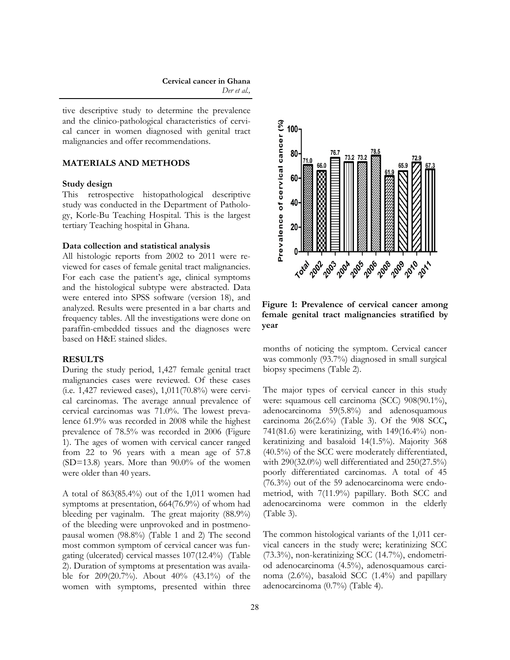tive descriptive study to determine the prevalence and the clinico-pathological characteristics of cervical cancer in women diagnosed with genital tract malignancies and offer recommendations.

## **MATERIALS AND METHODS**

### **Study design**

This retrospective histopathological descriptive study was conducted in the Department of Pathology, Korle-Bu Teaching Hospital. This is the largest tertiary Teaching hospital in Ghana.

#### **Data collection and statistical analysis**

All histologic reports from 2002 to 2011 were reviewed for cases of female genital tract malignancies. For each case the patient's age, clinical symptoms and the histological subtype were abstracted. Data were entered into SPSS software (version 18), and analyzed. Results were presented in a bar charts and frequency tables. All the investigations were done on paraffin-embedded tissues and the diagnoses were based on H&E stained slides.

### **RESULTS**

During the study period, 1,427 female genital tract malignancies cases were reviewed. Of these cases (i.e. 1,427 reviewed cases), 1,011(70.8%) were cervical carcinomas. The average annual prevalence of cervical carcinomas was 71.0%. The lowest prevalence 61.9% was recorded in 2008 while the highest prevalence of 78.5% was recorded in 2006 (Figure 1). The ages of women with cervical cancer ranged from 22 to 96 years with a mean age of 57.8 (SD=13.8) years. More than 90.0% of the women were older than 40 years.

A total of 863(85.4%) out of the 1,011 women had symptoms at presentation, 664(76.9%) of whom had bleeding per vaginalm. The great majority (88.9%) of the bleeding were unprovoked and in postmenopausal women (98.8%) (Table 1 and 2) The second most common symptom of cervical cancer was fungating (ulcerated) cervical masses 107(12.4%) (Table 2). Duration of symptoms at presentation was available for 209(20.7%). About 40% (43.1%) of the women with symptoms, presented within three



**Figure 1: Prevalence of cervical cancer among female genital tract malignancies stratified by year**

months of noticing the symptom. Cervical cancer was commonly (93.7%) diagnosed in small surgical biopsy specimens (Table 2).

The major types of cervical cancer in this study were: squamous cell carcinoma (SCC) 908(90.1%), adenocarcinoma 59(5.8%) and adenosquamous carcinoma 26(2.6%) (Table 3). Of the 908 SCC**,**  741(81.6) were keratinizing, with 149(16.4%) nonkeratinizing and basaloid 14(1.5%). Majority 368 (40.5%) of the SCC were moderately differentiated, with 290(32.0%) well differentiated and 250(27.5%) poorly differentiated carcinomas. A total of 45 (76.3%) out of the 59 adenocarcinoma were endometriod, with 7(11.9%) papillary. Both SCC and adenocarcinoma were common in the elderly (Table 3).

The common histological variants of the 1,011 cervical cancers in the study were; keratinizing SCC (73.3%), non-keratinizing SCC (14.7%), endometriod adenocarcinoma (4.5%), adenosquamous carcinoma (2.6%), basaloid SCC (1.4%) and papillary adenocarcinoma (0.7%) (Table 4).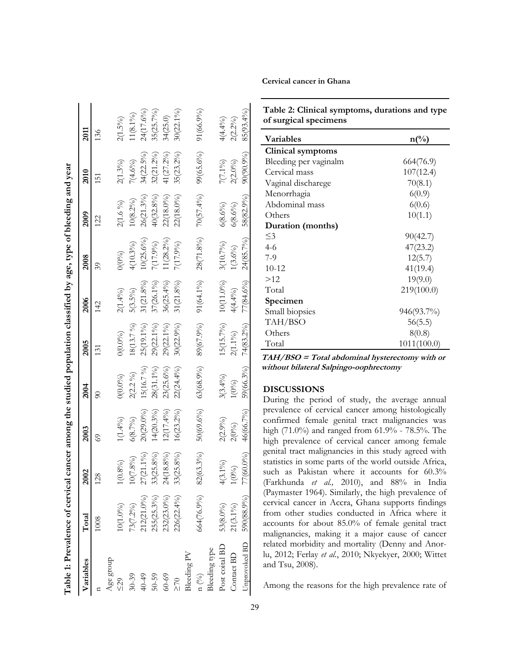| Table 1: Prevalence of cervical cancer among the studied population classified by age, type of bleeding and year |                         |                       |              |              |              |              |              |              |              |              |
|------------------------------------------------------------------------------------------------------------------|-------------------------|-----------------------|--------------|--------------|--------------|--------------|--------------|--------------|--------------|--------------|
| Variables                                                                                                        | Total                   | 2002                  | 2003         | 2004         | 2005         | 2006         | 2008         | 2009         | 2010         | 2011         |
|                                                                                                                  | 1008                    | 128                   | 69           | $\delta$     | 131          | 142          | 39           | 122          | 151          | 136          |
| Age group                                                                                                        |                         |                       |              |              |              |              |              |              |              |              |
| $\leq 29$                                                                                                        | $0(1.0\%)$              | $.8\%$<br>$\subseteq$ | $1(1.4\%)$   | $O(0.0\%)$   | $0(0.0\%)$   | $2(1.4\%)$   | $(00\%)$     | 2(1.6 %)     | 2(1.3%)      | $2(1.5\%)$   |
| $30 - 39$                                                                                                        | 73(7.2%)                | 10(7.8%)              | 6(8.7%)      | $2(2.2\%)$   | 18(13.7 %)   | $5(3.5\%)$   | $4(10.3\%)$  | $10(8.2\%)$  | 7(4.6%)      | $1(8.1\%)$   |
| 40-49                                                                                                            | 212(21.0%)              | $27(21.1\%)$          | $20(29.0\%)$ | 5(16.7 %)    | 25(19.1%)    | $31(21.8\%)$ | $10(25.6\%)$ | $26(21.3\%)$ | $34(22.5\%)$ | 24(17.6%)    |
| $50 - 59$                                                                                                        | $255(25.3\%)$           | $33(25.8\%)$          | $14(20.3\%)$ | 28(31.1%)    | 29(22.1%)    | 37(26.1%)    | 7(17.9%)     | 40(32.8%)    | 32(21.2%)    | $35(25.7\%)$ |
| $60 - 69$                                                                                                        | 232(23.0%)              | 24(18.8%)             | $12(17.4\%)$ | $23(25.6\%)$ | 29(22.1%)    | $36(25.4\%)$ | $(28.2\%)$   | 22(18.0%)    | 41(27.2%)    | 34(25.0)     |
| $\geq 70$                                                                                                        | 226(22.4%)              | $33(25.8\%)$          | $16(23.2\%)$ | $22(24.4\%)$ | $30(22.9\%)$ | $31(21.8\%)$ | 7(17.9%)     | 22(18.0%)    | $35(23.2\%)$ | $30(22.1\%)$ |
| Bleeding PV                                                                                                      |                         |                       |              |              |              |              |              |              |              |              |
| $n\binom{0}{0}$                                                                                                  | $664(76.9\%)$ 82(63.3%) |                       | $50(69.6\%)$ | $63(68.9\%)$ | 89(67.9%)    | $91(64.1\%)$ | 28(71.8%)    | $70(57.4\%)$ | $99(65.6\%)$ | 91(66.9%)    |
| Bleeding type                                                                                                    |                         |                       |              |              |              |              |              |              |              |              |
| Post coital BD                                                                                                   | 53(8.0%)                | $4(3.1\%)$            | $2(2.9\%)$   | $3(3.4\%)$   | $15(15.7\%)$ | $10(11.0\%)$ | 3(10.7%)     | 6(8.6%)      | 7(7.1%)      | $4(4.4\%)$   |
| Contact BD                                                                                                       | $21(3.1\%)$             | $1(0\%)$              | 2(0%)        | $1(0\%)$     | $2(1.1\%)$   | $4(4.4\%)$   | $(3.6\%)$    | $6(8.6\%)$   | $2(2.0\%)$   | $2(2.2\%)$   |
| Unprovoked BD                                                                                                    | 590(88.9%)              | 77(60.0%)             | 46(66.7%)    | 59(66.3%)    | $74(83.2\%)$ | $77(84.6\%)$ | 24(85.7%)    | 58(82.9%)    | $90(90.9\%)$ | 85(93.4%)    |

| Cervical cancer in Ghana |
|--------------------------|
|                          |

| Table 2: Clinical symptoms, durations and type |  |  |
|------------------------------------------------|--|--|
| of surgical specimens                          |  |  |

| Variables<br>$n\binom{0}{0}$ |             |  |
|------------------------------|-------------|--|
| Clinical symptoms            |             |  |
| Bleeding per vaginalm        | 664(76.9)   |  |
| Cervical mass                | 107(12.4)   |  |
| Vaginal discharege           | 70(8.1)     |  |
| Menorrhagia                  | 6(0.9)      |  |
| Abdominal mass               | 6(0.6)      |  |
| Others                       | 10(1.1)     |  |
| Duration (months)            |             |  |
| $\leq$ 3                     | 90(42.7)    |  |
| $4-6$                        | 47(23.2)    |  |
| 7-9                          | 12(5.7)     |  |
| $10 - 12$                    | 41(19.4)    |  |
| >12                          | 19(9.0)     |  |
| Total                        | 219(100.0)  |  |
| Specimen                     |             |  |
| Small biopsies               | 946(93.7%)  |  |
| TAH/BSO                      | 56(5.5)     |  |
| Others                       | 8(0.8)      |  |
| Total                        | 1011(100.0) |  |

**TAH/BSO = Total abdominal hysterectomy with or without bilateral Salpingo-oophrectomy**

#### **DISCUSSIONS**

During the period of study, the average annual prevalence of cervical cancer among histologically confirmed female genital tract malignancies was high (71.0%) and ranged from 61.9% - 78.5%. The high prevalence of cervical cancer among female genital tract malignancies in this study agreed with statistics in some parts of the world outside Africa, such as Pakistan where it accounts for 60.3% (Farkhunda *et al.,* 2010), and 88% in India (Paymaster 1964). Similarly, the high prevalence of cervical cancer in Accra, Ghana supports findings from other studies conducted in Africa where it accounts for about 85.0% of female genital tract malignancies, making it a major cause of cancer related morbidity and mortality [\(Denny and Anor](#_ENREF_5#_ENREF_5)[lu, 2012;](#_ENREF_5#_ENREF_5) Ferlay *et al.*[, 2010;](#_ENREF_6#_ENREF_6) [Nkyekyer, 2000;](#_ENREF_17#_ENREF_17) [Wittet](#_ENREF_23#_ENREF_23)  [and Tsu, 2008\).](#_ENREF_23#_ENREF_23)

Among the reasons for the high prevalence rate of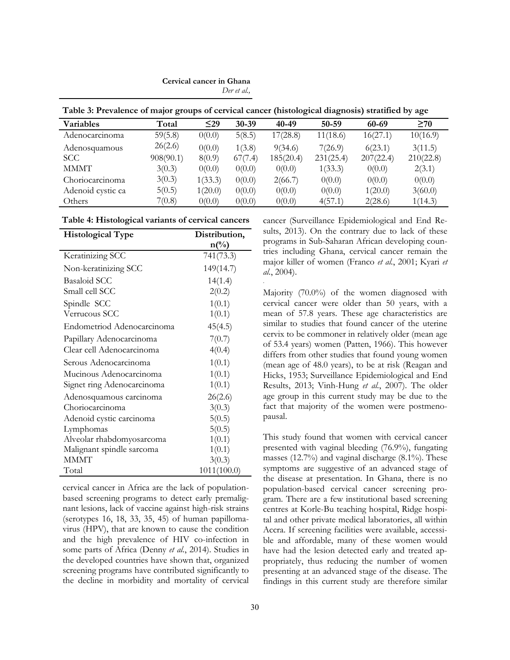# **Cervical cancer in Ghana**

*Der et al.,*

**Table 3: Prevalence of major groups of cervical cancer (histological diagnosis) stratified by age**

| <b>Variables</b>  | Total     | $\leq$ 29 | 30-39   | 40-49     | $50 - 59$ | 60-69     | $\geq 70$ |
|-------------------|-----------|-----------|---------|-----------|-----------|-----------|-----------|
| Adenocarcinoma    | 59(5.8)   | 0(0.0)    | 5(8.5)  | 17(28.8)  | 11(18.6)  | 16(27.1)  | 10(16.9)  |
| Adenosquamous     | 26(2.6)   | 0(0.0)    | 1(3.8)  | 9(34.6)   | 7(26.9)   | 6(23.1)   | 3(11.5)   |
| <b>SCC</b>        | 908(90.1) | 8(0.9)    | 67(7.4) | 185(20.4) | 231(25.4) | 207(22.4) | 210(22.8) |
| <b>MMMT</b>       | 3(0.3)    | 0(0.0)    | 0(0.0)  | 0(0.0)    | 1(33.3)   | 0(0.0)    | 2(3.1)    |
| Choriocarcinoma   | 3(0.3)    | 1(33.3)   | 0(0.0)  | 2(66.7)   | 0(0.0)    | 0(0.0)    | 0(0.0)    |
| Adenoid cystic ca | 5(0.5)    | 1(20.0)   | 0(0.0)  | 0(0.0)    | 0(0.0)    | 1(20.0)   | 3(60.0)   |
| Others            | 7(0.8)    | 0(0.0)    | 0(0.0)  | 0(0.0)    | 4(57.1)   | 2(28.6)   | 1(14.3)   |

.

| <b>Histological Type</b>   | Distribution,   |
|----------------------------|-----------------|
|                            | $n\binom{0}{0}$ |
| Keratinizing SCC           | 741(73.3)       |
| Non-keratinizing SCC       | 149(14.7)       |
| <b>Basaloid SCC</b>        | 14(1.4)         |
| Small cell SCC             | 2(0.2)          |
| Spindle SCC                | 1(0.1)          |
| Verrucous SCC              | 1(0.1)          |
| Endometriod Adenocarcinoma | 45(4.5)         |
| Papillary Adenocarcinoma   | 7(0.7)          |
| Clear cell Adenocarcinoma  | 4(0.4)          |
| Serous Adenocarcinoma      | 1(0.1)          |
| Mucinous Adenocarcinoma    | 1(0.1)          |
| Signet ring Adenocarcinoma | 1(0.1)          |
| Adenosquamous carcinoma    | 26(2.6)         |
| Choriocarcinoma            | 3(0.3)          |
| Adenoid cystic carcinoma   | 5(0.5)          |
| Lymphomas                  | 5(0.5)          |
| Alveolar rhabdomyosarcoma  | 1(0.1)          |
| Malignant spindle sarcoma  | 1(0.1)          |
| <b>MMMT</b>                | 3(0.3)          |
| Total                      | 1011(100.0)     |

cervical cancer in Africa are the lack of populationbased screening programs to detect early premalignant lesions, lack of vaccine against high-risk strains (serotypes 16, 18, 33, 35, 45) of human papillomavirus (HPV), that are known to cause the condition and the high prevalence of HIV co-infection in some parts of Africa (Denny *et al.*[, 2014\)](#_ENREF_4#_ENREF_4). Studies in the developed countries have shown that, organized screening programs have contributed significantly to the decline in morbidity and mortality of cervical cancer ([Surveillance Epidemiological and End Re](#_ENREF_20#_ENREF_20)[sults, 2013\).](#_ENREF_20#_ENREF_20) On the contrary due to lack of these programs in Sub-Saharan African developing countries including Ghana, cervical cancer remain the major killer of women ([Franco](#_ENREF_7#_ENREF_7) *et al.*, 2001; [Kyari](#_ENREF_13#_ENREF_13) *et al.*[, 2004\)](#_ENREF_13#_ENREF_13).

Majority (70.0%) of the women diagnosed with cervical cancer were older than 50 years, with a mean of 57.8 years. These age characteristics are similar to studies that found cancer of the uterine cervix to be commoner in relatively older (mean age of 53.4 years) women ([Patten, 1966\).](#_ENREF_18#_ENREF_18) This however differs from other studies that found young women (mean age of 48.0 years), to be at risk ([Reagan and](#_ENREF_19#_ENREF_19)  [Hicks, 1953;](#_ENREF_19#_ENREF_19) [Surveillance Epidemiological and End](#_ENREF_20#_ENREF_20)  [Results, 2013;](#_ENREF_20#_ENREF_20) [Vinh-Hung](#_ENREF_21#_ENREF_21) *et al.*, 2007). The older age group in this current study may be due to the fact that majority of the women were postmenopausal.

This study found that women with cervical cancer presented with vaginal bleeding (76.9%), fungating masses (12.7%) and vaginal discharge (8.1%). These symptoms are suggestive of an advanced stage of the disease at presentation. In Ghana, there is no population-based cervical cancer screening program. There are a few institutional based screening centres at Korle-Bu teaching hospital, Ridge hospital and other private medical laboratories, all within Accra. If screening facilities were available, accessible and affordable, many of these women would have had the lesion detected early and treated appropriately, thus reducing the number of women presenting at an advanced stage of the disease. The findings in this current study are therefore similar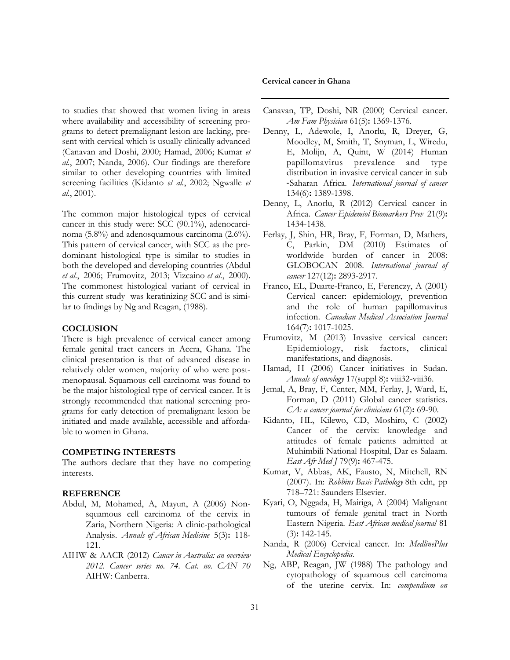to studies that showed that women living in areas where availability and accessibility of screening programs to detect premalignant lesion are lacking, present with cervical which is usually clinically advanced ([Canavan and Doshi, 2000;](#_ENREF_3#_ENREF_3) [Hamad, 2006;](#_ENREF_9#_ENREF_9) [Kumar](#_ENREF_12#_ENREF_12) *et al.*[, 2007;](#_ENREF_12#_ENREF_12) [Nanda, 2006\)](#_ENREF_14#_ENREF_14). Our findings are therefore similar to other developing countries with limited screening facilities ([Kidanto](#_ENREF_11#_ENREF_11) *et al.*, 2002; [Ngwalle](#_ENREF_16#_ENREF_16) *et al.*[, 2001\).](#_ENREF_16#_ENREF_16)

The common major histological types of cervical cancer in this study were: SCC (90.1%), adenocarcinoma (5.8%) and adenosquamous carcinoma (2.6%). This pattern of cervical cancer, with SCC as the predominant histological type is similar to studies in both the developed and developing countries [\(Abdul](#_ENREF_1#_ENREF_1) *et al.*[, 2006;](#_ENREF_1#_ENREF_1) [Frumovitz, 2013;](#_ENREF_8#_ENREF_8) [Vizcaino](#_ENREF_22#_ENREF_22) *et al.*, 2000). The commonest histological variant of cervical in this current study was keratinizing SCC and is similar to findings by [Ng and Reagan, \(1988\).](#_ENREF_15#_ENREF_15)

# **COCLUSION**

There is high prevalence of cervical cancer among female genital tract cancers in Accra, Ghana. The clinical presentation is that of advanced disease in relatively older women, majority of who were postmenopausal. Squamous cell carcinoma was found to be the major histological type of cervical cancer. It is strongly recommended that national screening programs for early detection of premalignant lesion be initiated and made available, accessible and affordable to women in Ghana.

## **COMPETING INTERESTS**

The authors declare that they have no competing interests.

#### **REFERENCE**

- Abdul, M, Mohamed, A, Mayun, A (2006) Nonsquamous cell carcinoma of the cervix in Zaria, Northern Nigeria: A clinic-pathological Analysis. *Annals of African Medicine* 5(3)**:** 118- 121.
- AIHW & AACR (2012) *Cancer in Australia: an overview 2012. Cancer series no. 74. Cat. no. CAN 70*  AIHW: Canberra.

#### **Cervical cancer in Ghana**

- Canavan, TP, Doshi, NR (2000) Cervical cancer. *Am Fam Physician* 61(5)**:** 1369-1376.
- Denny, L, Adewole, I, Anorlu, R, Dreyer, G, Moodley, M, Smith, T, Snyman, L, Wiredu, E, Molijn, A, Quint, W (2014) Human papillomavirus prevalence and type distribution in invasive cervical cancer in sub ‐Saharan Africa. *International journal of cancer* 134(6)**:** 1389-1398.
- Denny, L, Anorlu, R (2012) Cervical cancer in Africa. *Cancer Epidemiol Biomarkers Prev* 21(9)**:** 1434-1438.
- Ferlay, J, Shin, HR, Bray, F, Forman, D, Mathers, C, Parkin, DM (2010) Estimates of worldwide burden of cancer in 2008: GLOBOCAN 2008. *International journal of cancer* 127(12)**:** 2893-2917.
- Franco, EL, Duarte-Franco, E, Ferenczy, A (2001) Cervical cancer: epidemiology, prevention and the role of human papillomavirus infection. *Canadian Medical Association Journal* 164(7)**:** 1017-1025.
- Frumovitz, M (2013) Invasive cervical cancer: Epidemiology, risk factors, clinical manifestations, and diagnosis.
- Hamad, H (2006) Cancer initiatives in Sudan. *Annals of oncology* 17(suppl 8)**:** viii32-viii36.
- Jemal, A, Bray, F, Center, MM, Ferlay, J, Ward, E, Forman, D (2011) Global cancer statistics. *CA: a cancer journal for clinicians* 61(2)**:** 69-90.
- Kidanto, HL, Kilewo, CD, Moshiro, C (2002) Cancer of the cervix: knowledge and attitudes of female patients admitted at Muhimbili National Hospital, Dar es Salaam. *East Afr Med J* 79(9)**:** 467-475.
- Kumar, V, Abbas, AK, Fausto, N, Mitchell, RN (2007). In: *Robbins Basic Pathology* 8th edn, pp 718–721: Saunders Elsevier.
- Kyari, O, Nggada, H, Mairiga, A (2004) Malignant tumours of female genital tract in North Eastern Nigeria. *East African medical journal* 81 (3)**:** 142-145.
- Nanda, R (2006) Cervical cancer. In: *MedlinePlus Medical Encyclopedia*.
- Ng, ABP, Reagan, JW (1988) The pathology and cytopathology of squamous cell carcinoma of the uterine cervix. In: *compendium on*